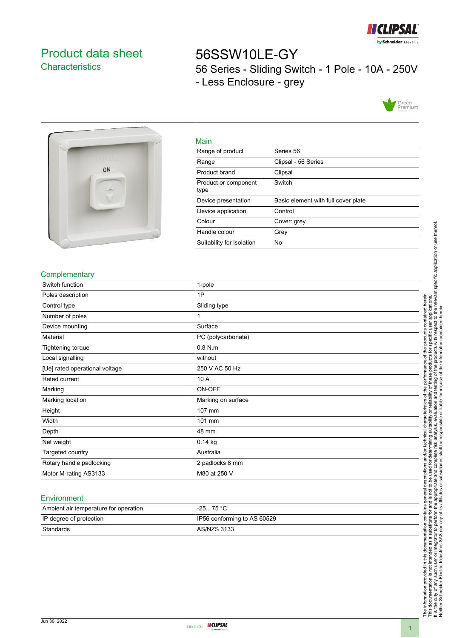

# <span id="page-0-0"></span>Product data sheet **Characteristics**

56SSW10LE-GY 56 Series - Sliding Switch - 1 Pole - 10A - 250V - Less Enclosure - grey





| __ |  |
|----|--|
|    |  |

| <u>iviali i</u>              |                                     |
|------------------------------|-------------------------------------|
| Range of product             | Series 56                           |
| Range                        | Clipsal - 56 Series                 |
| Product brand                | Clipsal                             |
| Product or component<br>type | Switch                              |
| Device presentation          | Basic element with full cover plate |
| Device application           | Control                             |
| Colour                       | Cover: grey                         |
| Handle colour                | Grey                                |
| Suitability for isolation    | No                                  |
|                              |                                     |

## **Complementary**

| Switch function                | 1-pole             |
|--------------------------------|--------------------|
| Poles description              | 1P                 |
| Control type                   | Sliding type       |
| Number of poles                | 1                  |
| Device mounting                | Surface            |
| Material                       | PC (polycarbonate) |
| Tightening torque              | $0.8$ N.m          |
| Local signalling               | without            |
| [Ue] rated operational voltage | 250 V AC 50 Hz     |
| Rated current                  | 10 A               |
| Marking                        | ON-OFF             |
| Marking location               | Marking on surface |
| Height                         | 107 mm             |
| Width                          | 101 mm             |
| Depth                          | 48 mm              |
| Net weight                     | 0.14 kg            |
| Targeted country               | Australia          |
| Rotary handle padlocking       | 2 padlocks 8 mm    |
| Motor M-rating AS3133          | M80 at 250 V       |

#### Environment

| Ambient air temperature for operation | $-2575 °C$                  |
|---------------------------------------|-----------------------------|
| IP degree of protection               | IP56 conforming to AS 60529 |
| Standards                             | AS/NZS 3133                 |